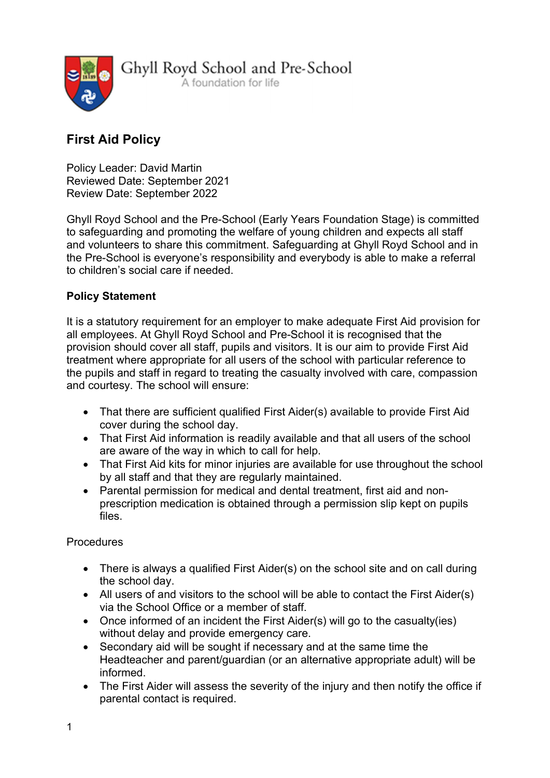

Ghyll Royd School and Pre-School A foundation for life

# First Aid Policy

Policy Leader: David Martin Reviewed Date: September 2021 Review Date: September 2022

Ghyll Royd School and the Pre-School (Early Years Foundation Stage) is committed to safeguarding and promoting the welfare of young children and expects all staff and volunteers to share this commitment. Safeguarding at Ghyll Royd School and in the Pre-School is everyone's responsibility and everybody is able to make a referral to children's social care if needed.

## Policy Statement

It is a statutory requirement for an employer to make adequate First Aid provision for all employees. At Ghyll Royd School and Pre-School it is recognised that the provision should cover all staff, pupils and visitors. It is our aim to provide First Aid treatment where appropriate for all users of the school with particular reference to the pupils and staff in regard to treating the casualty involved with care, compassion and courtesy. The school will ensure:

- That there are sufficient qualified First Aider(s) available to provide First Aid cover during the school day.
- That First Aid information is readily available and that all users of the school are aware of the way in which to call for help.
- That First Aid kits for minor injuries are available for use throughout the school by all staff and that they are regularly maintained.
- Parental permission for medical and dental treatment, first aid and nonprescription medication is obtained through a permission slip kept on pupils files.

## Procedures

- There is always a qualified First Aider(s) on the school site and on call during the school day.
- All users of and visitors to the school will be able to contact the First Aider(s) via the School Office or a member of staff.
- Once informed of an incident the First Aider(s) will go to the casualty(ies) without delay and provide emergency care.
- Secondary aid will be sought if necessary and at the same time the Headteacher and parent/guardian (or an alternative appropriate adult) will be informed.
- The First Aider will assess the severity of the injury and then notify the office if parental contact is required.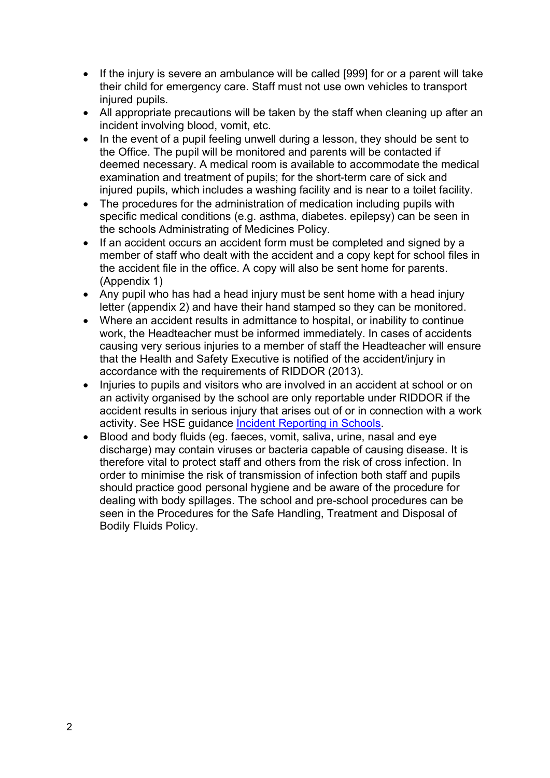- If the injury is severe an ambulance will be called [999] for or a parent will take their child for emergency care. Staff must not use own vehicles to transport injured pupils.
- All appropriate precautions will be taken by the staff when cleaning up after an incident involving blood, vomit, etc.
- In the event of a pupil feeling unwell during a lesson, they should be sent to the Office. The pupil will be monitored and parents will be contacted if deemed necessary. A medical room is available to accommodate the medical examination and treatment of pupils; for the short-term care of sick and injured pupils, which includes a washing facility and is near to a toilet facility.
- The procedures for the administration of medication including pupils with specific medical conditions (e.g. asthma, diabetes. epilepsy) can be seen in the schools Administrating of Medicines Policy.
- If an accident occurs an accident form must be completed and signed by a member of staff who dealt with the accident and a copy kept for school files in the accident file in the office. A copy will also be sent home for parents. (Appendix 1)
- Any pupil who has had a head injury must be sent home with a head injury letter (appendix 2) and have their hand stamped so they can be monitored.
- Where an accident results in admittance to hospital, or inability to continue work, the Headteacher must be informed immediately. In cases of accidents causing very serious injuries to a member of staff the Headteacher will ensure that the Health and Safety Executive is notified of the accident/injury in accordance with the requirements of RIDDOR (2013).
- Injuries to pupils and visitors who are involved in an accident at school or on an activity organised by the school are only reportable under RIDDOR if the accident results in serious injury that arises out of or in connection with a work activity. See HSE guidance Incident Reporting in Schools.
- Blood and body fluids (eg. faeces, vomit, saliva, urine, nasal and eye discharge) may contain viruses or bacteria capable of causing disease. It is therefore vital to protect staff and others from the risk of cross infection. In order to minimise the risk of transmission of infection both staff and pupils should practice good personal hygiene and be aware of the procedure for dealing with body spillages. The school and pre-school procedures can be seen in the Procedures for the Safe Handling, Treatment and Disposal of Bodily Fluids Policy.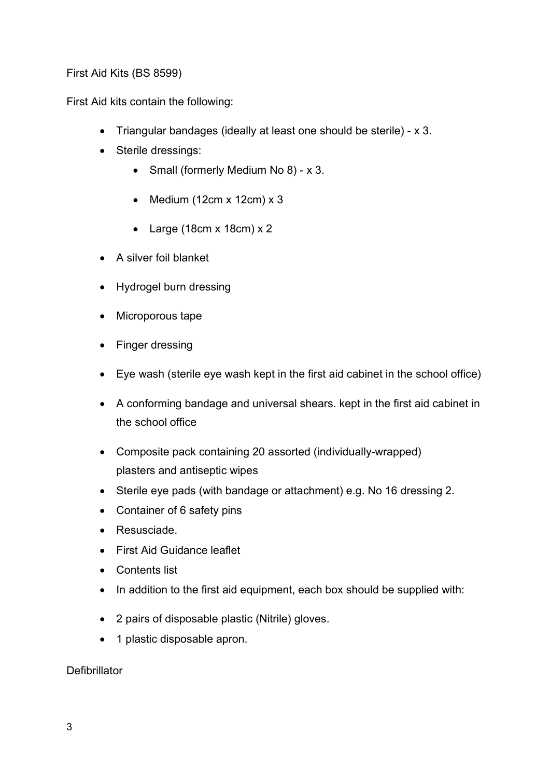First Aid Kits (BS 8599)

First Aid kits contain the following:

- Triangular bandages (ideally at least one should be sterile) x 3.
- Sterile dressings:
	- Small (formerly Medium No 8) x 3.
	- $\bullet$  Medium (12cm x 12cm) x 3
	- Large (18cm x 18cm)  $x$  2
- A silver foil blanket
- Hydrogel burn dressing
- Microporous tape
- Finger dressing
- Eye wash (sterile eye wash kept in the first aid cabinet in the school office)
- A conforming bandage and universal shears. kept in the first aid cabinet in the school office
- Composite pack containing 20 assorted (individually-wrapped) plasters and antiseptic wipes
- Sterile eye pads (with bandage or attachment) e.g. No 16 dressing 2.
- Container of 6 safety pins
- Resusciade.
- First Aid Guidance leaflet
- Contents list
- In addition to the first aid equipment, each box should be supplied with:
- 2 pairs of disposable plastic (Nitrile) gloves.
- 1 plastic disposable apron.

## **Defibrillator**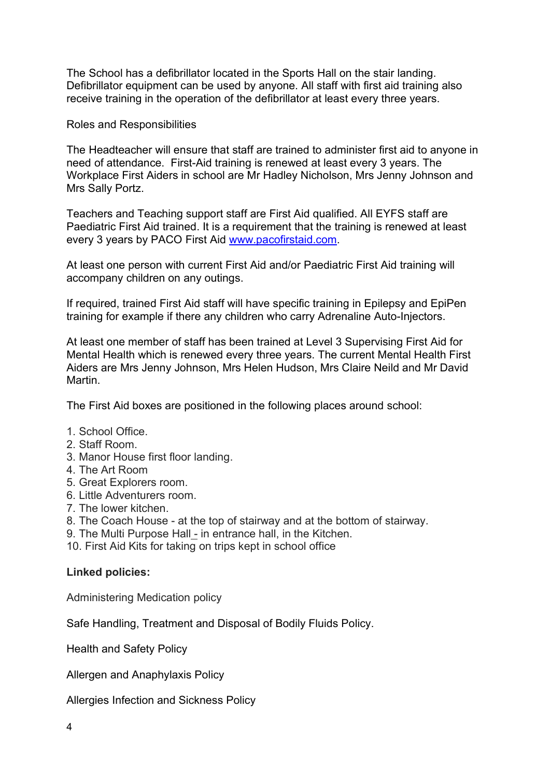The School has a defibrillator located in the Sports Hall on the stair landing. Defibrillator equipment can be used by anyone. All staff with first aid training also receive training in the operation of the defibrillator at least every three years.

Roles and Responsibilities

The Headteacher will ensure that staff are trained to administer first aid to anyone in need of attendance. First-Aid training is renewed at least every 3 years. The Workplace First Aiders in school are Mr Hadley Nicholson, Mrs Jenny Johnson and Mrs Sally Portz.

Teachers and Teaching support staff are First Aid qualified. All EYFS staff are Paediatric First Aid trained. It is a requirement that the training is renewed at least every 3 years by PACO First Aid www.pacofirstaid.com.

At least one person with current First Aid and/or Paediatric First Aid training will accompany children on any outings.

If required, trained First Aid staff will have specific training in Epilepsy and EpiPen training for example if there any children who carry Adrenaline Auto-Injectors.

At least one member of staff has been trained at Level 3 Supervising First Aid for Mental Health which is renewed every three years. The current Mental Health First Aiders are Mrs Jenny Johnson, Mrs Helen Hudson, Mrs Claire Neild and Mr David Martin.

The First Aid boxes are positioned in the following places around school:

- 1. School Office.
- 2. Staff Room.
- 3. Manor House first floor landing.
- 4. The Art Room
- 5. Great Explorers room.
- 6. Little Adventurers room.
- 7. The lower kitchen.
- 8. The Coach House at the top of stairway and at the bottom of stairway.
- 9. The Multi Purpose Hall in entrance hall, in the Kitchen.
- 10. First Aid Kits for taking on trips kept in school office

#### Linked policies:

Administering Medication policy

Safe Handling, Treatment and Disposal of Bodily Fluids Policy.

Health and Safety Policy

Allergen and Anaphylaxis Policy

Allergies Infection and Sickness Policy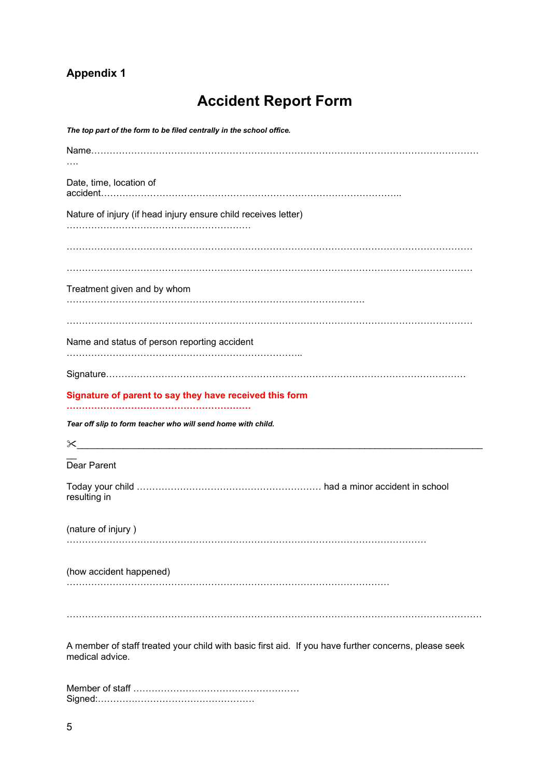# Appendix 1

# Accident Report Form

| The top part of the form to be filed centrally in the school office.                                                                                                                                                                                                                                                             |
|----------------------------------------------------------------------------------------------------------------------------------------------------------------------------------------------------------------------------------------------------------------------------------------------------------------------------------|
|                                                                                                                                                                                                                                                                                                                                  |
|                                                                                                                                                                                                                                                                                                                                  |
| Date, time, location of                                                                                                                                                                                                                                                                                                          |
|                                                                                                                                                                                                                                                                                                                                  |
| Nature of injury (if head injury ensure child receives letter)                                                                                                                                                                                                                                                                   |
|                                                                                                                                                                                                                                                                                                                                  |
|                                                                                                                                                                                                                                                                                                                                  |
|                                                                                                                                                                                                                                                                                                                                  |
|                                                                                                                                                                                                                                                                                                                                  |
| Treatment given and by whom                                                                                                                                                                                                                                                                                                      |
|                                                                                                                                                                                                                                                                                                                                  |
|                                                                                                                                                                                                                                                                                                                                  |
|                                                                                                                                                                                                                                                                                                                                  |
| Name and status of person reporting accident                                                                                                                                                                                                                                                                                     |
|                                                                                                                                                                                                                                                                                                                                  |
|                                                                                                                                                                                                                                                                                                                                  |
| Signature of parent to say they have received this form                                                                                                                                                                                                                                                                          |
|                                                                                                                                                                                                                                                                                                                                  |
| Tear off slip to form teacher who will send home with child.                                                                                                                                                                                                                                                                     |
|                                                                                                                                                                                                                                                                                                                                  |
| $\mathsf{\times}$ $\hspace{0.1cm}$ $\hspace{0.1cm}$ $\hspace{0.1cm}$ $\hspace{0.1cm}$ $\hspace{0.1cm}$ $\hspace{0.1cm}$ $\hspace{0.1cm}$ $\hspace{0.1cm}$ $\hspace{0.1cm}$ $\hspace{0.1cm}$ $\hspace{0.1cm}$ $\hspace{0.1cm}$ $\hspace{0.1cm}$ $\hspace{0.1cm}$ $\hspace{0.1cm}$ $\hspace{0.1cm}$ $\hspace{0.1cm}$ $\hspace{0.1$ |
| Dear Parent                                                                                                                                                                                                                                                                                                                      |
|                                                                                                                                                                                                                                                                                                                                  |
| resulting in                                                                                                                                                                                                                                                                                                                     |
|                                                                                                                                                                                                                                                                                                                                  |
| (nature of injury)                                                                                                                                                                                                                                                                                                               |
|                                                                                                                                                                                                                                                                                                                                  |
|                                                                                                                                                                                                                                                                                                                                  |
| (how accident happened)                                                                                                                                                                                                                                                                                                          |
|                                                                                                                                                                                                                                                                                                                                  |
|                                                                                                                                                                                                                                                                                                                                  |
|                                                                                                                                                                                                                                                                                                                                  |
|                                                                                                                                                                                                                                                                                                                                  |
| A member of staff treated your child with basic first aid. If you have further concerns, please seek                                                                                                                                                                                                                             |
| medical advice.                                                                                                                                                                                                                                                                                                                  |
|                                                                                                                                                                                                                                                                                                                                  |
|                                                                                                                                                                                                                                                                                                                                  |

Signed:……………………………………………